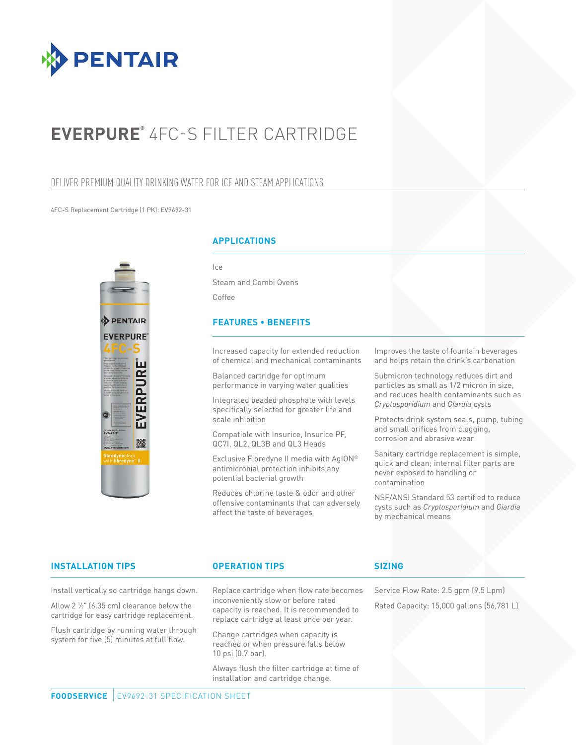

# **EVERPURE®** 4FC-S FILTER CARTRIDGE

# DELIVER PREMIUM QUALITY DRINKING WATER FOR ICE AND STEAM APPLICATIONS

#### 4FC-S Replacement Cartridge (1 PK): EV9692-31



### **APPLICATIONS**

 $|c\rangle$ 

Steam and Combi Ovens Coffee

#### **FEATURES • BENEFITS**

Increased capacity for extended reduction of chemical and mechanical contaminants

Balanced cartridge for optimum performance in varying water qualities

Integrated beaded phosphate with levels specifically selected for greater life and scale inhibition

Compatible with Insurice, Insurice PF, QC7I, QL2, QL3B and QL3 Heads

Exclusive Fibredyne II media with AgION® antimicrobial protection inhibits any potential bacterial growth

Reduces chlorine taste & odor and other offensive contaminants that can adversely affect the taste of beverages

Improves the taste of fountain beverages and helps retain the drink's carbonation

Submicron technology reduces dirt and particles as small as 1/2 micron in size, and reduces health contaminants such as *Cryptosporidium* and *Giardia* cysts

Protects drink system seals, pump, tubing and small orifices from clogging, corrosion and abrasive wear

Sanitary cartridge replacement is simple, quick and clean; internal filter parts are never exposed to handling or contamination

NSF/ANSI Standard 53 certified to reduce cysts such as *Cryptosporidium* and *Giardia* by mechanical means

#### **INSTALLATION TIPS OPERATION TIPS**

Install vertically so cartridge hangs down.

Allow 2 1 ⁄2" (6.35 cm) clearance below the

cartridge for easy cartridge replacement. Flush cartridge by running water through system for five (5) minutes at full flow.

Replace cartridge when flow rate becomes inconveniently slow or before rated capacity is reached. It is recommended to replace cartridge at least once per year.

Change cartridges when capacity is reached or when pressure falls below 10 psi (0.7 bar).

Always flush the filter cartridge at time of installation and cartridge change.

### **SIZING**

Service Flow Rate: 2.5 gpm (9.5 Lpm) Rated Capacity: 15,000 gallons (56,781 L)